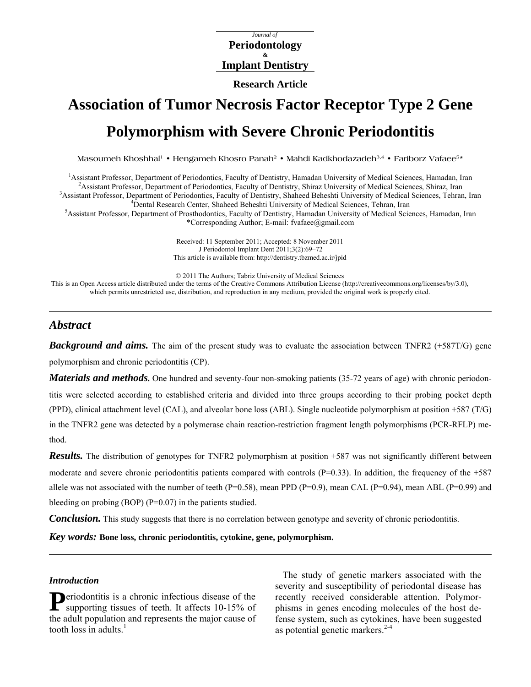## *Journal of*  **Periodontology & Implant Dentistry**

**Research Article** 

# **Association of Tumor Necrosis Factor Receptor Type 2 Gene Polymorphism with Severe Chronic Periodontitis**

**Masoumeh Khoshhal1 • Hengameh Khosro Panah2 • Mahdi Kadkhodazadeh3,4 • Fariborz Vafaee5\*** 

<sup>1</sup> Assistant Professor, Department of Periodontics, Faculty of Dentistry, Hamadan University of Medical Sciences, Hamadan, Iran <sup>2</sup> Assistant Professor, Department of Periodonties, Faculty of Dentistry, Shires University <sup>2</sup> Assistant Professor, Department of Periodontics, Faculty of Dentistry, Shiraz University of Medical Sciences, Shiraz, Iran <sup>3</sup> Assistant Professor, Department of Periodontics, Faculty of Dentistry, Shaheed Beheshti University of Medical Sciences, Tehran, Iran <sup>4</sup>Dental Research Center, Shaheed Beheshti University of Medical Sciences, Tehran, Iran <sup>5</sup> Assistant Professor, Department of Prosthodontics, Faculty of Dentistry, Hamadan University of Medical Sciences, Hamadan, Iran

\*Corresponding Author; E-mail: fvafaee@gmail.com

Received: 11 September 2011; Accepted: 8 November 2011 J Periodontol Implant Dent 2011;3(2):69–72 This article is available from:<http://dentistry.tbzmed.ac.ir/jpid>

© 2011 The Authors; Tabriz University of Medical Sciences

This is an Open Access article distributed under the terms of the Creative Commons Attribution License ([http://creativecommons.org/licenses/by/3.0\)](http://creativecommons.org/licenses/by/3.0), which permits unrestricted use, distribution, and reproduction in any medium, provided the original work is properly cited.

# *Abstract*

*Background and aims.* The aim of the present study was to evaluate the association between TNFR2 (+587T/G) gene polymorphism and chronic periodontitis (CP).

*Materials and methods.* One hundred and seventy-four non-smoking patients (35-72 years of age) with chronic periodontitis were selected according to established criteria and divided into three groups according to their probing pocket depth (PPD), clinical attachment level (CAL), and alveolar bone loss (ABL). Single nucleotide polymorphism at position +587 (T/G) in the TNFR2 gene was detected by a polymerase chain reaction-restriction fragment length polymorphisms (PCR-RFLP) method.

*Results.* The distribution of genotypes for TNFR2 polymorphism at position +587 was not significantly different between moderate and severe chronic periodontitis patients compared with controls  $(P=0.33)$ . In addition, the frequency of the  $+587$ allele was not associated with the number of teeth (P=0.58), mean PPD (P=0.9), mean CAL (P=0.94), mean ABL (P=0.99) and bleeding on probing  $(BOP)$   $(P=0.07)$  in the patients studied.

*Conclusion.* This study suggests that there is no correlation between genotype and severity of chronic periodontitis.

*Key words:* **Bone loss, chronic periodontitis, cytokine, gene, polymorphism.** 

## *Introduction*

**P**eriodontitis is a chronic infectious disease of the supporting tissues of teeth. It affects 10-15% of supporting tissues of teeth. It affects 10-15% of the adult population and represents the major cause of tooth loss in adults. $<sup>1</sup>$ </sup>

The study of genetic markers associated with the severity and susceptibility of periodontal disease has recently received considerable attention. Polymorphisms in genes encoding molecules of the host defense system, such as cytokines, have been suggested as potential genetic markers. $2-4$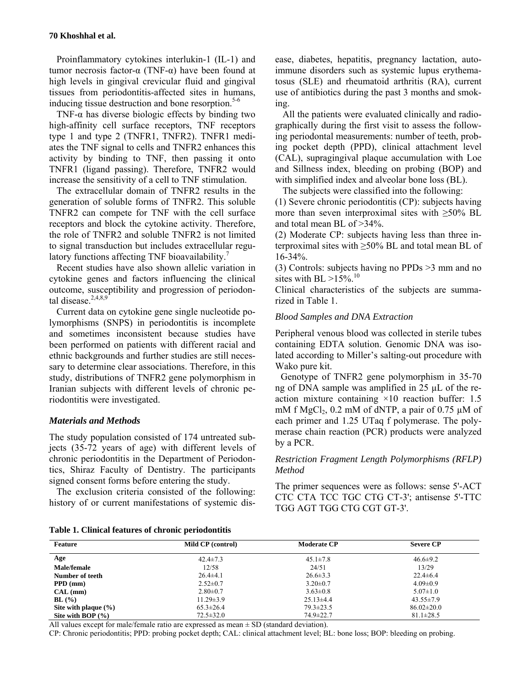#### **70 Khoshhal et al.**

Proinflammatory cytokines interlukin-1 (IL-1) and tumor necrosis factor-α (TNF-α) have been found at high levels in gingival crevicular fluid and gingival tissues from periodontitis-affected sites in humans, inducing tissue destruction and bone resorption. $5-6$ 

TNF- $\alpha$  has diverse biologic effects by binding two high-affinity cell surface receptors, TNF receptors type 1 and type 2 (TNFR1, TNFR2). TNFR1 mediates the TNF signal to cells and TNFR2 enhances this activity by binding to TNF, then passing it onto TNFR1 (ligand passing). Therefore, TNFR2 would increase the sensitivity of a cell to TNF stimulation.

The extracellular domain of TNFR2 results in the generation of soluble forms of TNFR2. This soluble TNFR2 can compete for TNF with the cell surface receptors and block the cytokine activity. Therefore, the role of TNFR2 and soluble TNFR2 is not limited to signal transduction but includes extracellular regulatory functions affecting TNF bioavailability.<sup>7</sup>

Recent studies have also shown allelic variation in cytokine genes and factors influencing the clinical outcome, susceptibility and progression of periodontal disease.<sup>2,4,8,9</sup>

Current data on cytokine gene single nucleotide polymorphisms (SNPS) in periodontitis is incomplete and sometimes inconsistent because studies have been performed on patients with different racial and ethnic backgrounds and further studies are still necessary to determine clear associations. Therefore, in this study, distributions of TNFR2 gene polymorphism in Iranian subjects with different levels of chronic periodontitis were investigated.

## *Materials and Methods*

The study population consisted of 174 untreated subjects (35-72 years of age) with different levels of chronic periodontitis in the Department of Periodontics, Shiraz Faculty of Dentistry. The participants signed consent forms before entering the study.

The exclusion criteria consisted of the following: history of or current manifestations of systemic disease, diabetes, hepatitis, pregnancy lactation, autoimmune disorders such as systemic lupus erythematosus (SLE) and rheumatoid arthritis (RA), current use of antibiotics during the past 3 months and smoking.

All the patients were evaluated clinically and radiographically during the first visit to assess the following periodontal measurements: number of teeth, probing pocket depth (PPD), clinical attachment level (CAL), supragingival plaque accumulation with Loe and Sillness index, bleeding on probing (BOP) and with simplified index and alveolar bone loss (BL).

The subjects were classified into the following:

(1) Severe chronic periodontitis (CP): subjects having more than seven interproximal sites with  $\geq 50\%$  BL and total mean BL of >34%.

(2) Moderate CP: subjects having less than three interproximal sites with  $\geq$ 50% BL and total mean BL of 16-34%.

(3) Controls: subjects having no PPDs >3 mm and no sites with BL  $>15\%$ .<sup>10</sup>

Clinical characteristics of the subjects are summarized in Table 1.

## *Blood Samples and DNA Extraction*

Peripheral venous blood was collected in sterile tubes containing EDTA solution. Genomic DNA was isolated according to Miller's salting-out procedure with Wako pure kit.

Genotype of TNFR2 gene polymorphism in 35-70 ng of DNA sample was amplified in 25 µL of the reaction mixture containing  $\times 10$  reaction buffer: 1.5 mM f  $MgCl<sub>2</sub>$ , 0.2 mM of dNTP, a pair of 0.75 µM of each primer and 1.25 UTaq f polymerase. The polymerase chain reaction (PCR) products were analyzed by a PCR.

## *Restriction Fragment Length Polymorphisms (RFLP) Method*

The primer sequences were as follows: sense 5'-ACT CTC CTA TCC TGC CTG CT-3'; antisense 5'-TTC TGG AGT TGG CTG CGT GT-3'.

|  |  |  |  | Table 1. Clinical features of chronic periodontitis |
|--|--|--|--|-----------------------------------------------------|
|--|--|--|--|-----------------------------------------------------|

| <b>Feature</b>           | Mild CP (control) | <b>Moderate CP</b> | <b>Severe CP</b> |  |
|--------------------------|-------------------|--------------------|------------------|--|
| Age                      | $42.4 \pm 7.3$    | $45.1 \pm 7.8$     | $46.6 \pm 9.2$   |  |
| Male/female              | 12/58             | 24/51              | 13/29            |  |
| Number of teeth          | $26.4 \pm 4.1$    | $26.6 \pm 3.3$     | $22.4\pm 6.4$    |  |
| $PPD$ (mm)               | $2.52 \pm 0.7$    | $3.20 \pm 0.7$     | $4.09 \pm 0.9$   |  |
| CAL (mm)                 | $2.80 \pm 0.7$    | $3.63 \pm 0.8$     | $5.07 \pm 1.0$   |  |
| BL(%)                    | $11.29 \pm 3.9$   | $25.13\pm4.4$      | $43.55 \pm 7.9$  |  |
| Site with plaque $(\% )$ | $65.3 \pm 26.4$   | $79.3 \pm 23.5$    | $86.02 \pm 20.0$ |  |
| Site with BOP $(\% )$    | $72.5 \pm 32.0$   | $74.9 \pm 22.7$    | $81.1 \pm 28.5$  |  |

All values except for male/female ratio are expressed as mean  $\pm$  SD (standard deviation).

CP: Chronic periodontitis; PPD: probing pocket depth; CAL: clinical attachment level; BL: bone loss; BOP: bleeding on probing.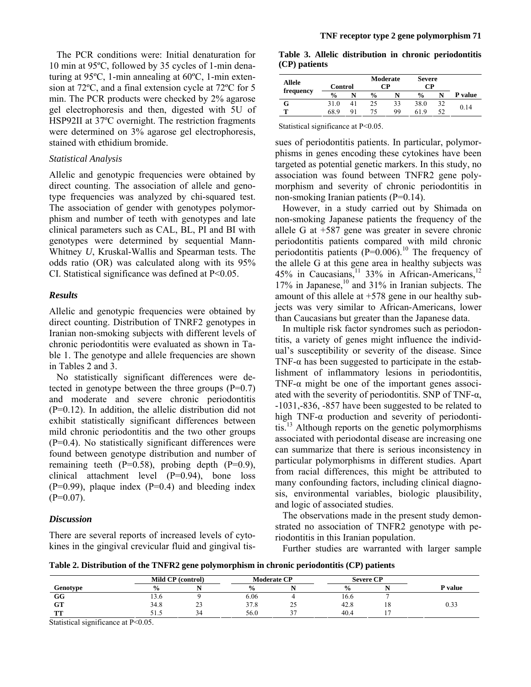The PCR conditions were: Initial denaturation for 10 min at 95ºC, followed by 35 cycles of 1-min denaturing at 95ºC, 1-min annealing at 60ºC, 1-min extension at 72ºC, and a final extension cycle at 72ºC for 5 min. The PCR products were checked by 2% agarose gel electrophoresis and then, digested with 5U of HSP92II at 37ºC overnight. The restriction fragments were determined on 3% agarose gel electrophoresis, stained with ethidium bromide.

## *Statistical Analysis*

Allelic and genotypic frequencies were obtained by direct counting. The association of allele and genotype frequencies was analyzed by chi-squared test. The association of gender with genotypes polymorphism and number of teeth with genotypes and late clinical parameters such as CAL, BL, PI and BI with genotypes were determined by sequential Mann-Whitney *U*, Kruskal-Wallis and Spearman tests. The odds ratio (OR) was calculated along with its 95% CI. Statistical significance was defined at P<0.05.

## *Results*

Allelic and genotypic frequencies were obtained by direct counting. Distribution of TNRF2 genotypes in Iranian non-smoking subjects with different levels of chronic periodontitis were evaluated as shown in Table 1. The genotype and allele frequencies are shown in Tables 2 and 3.

No statistically significant differences were detected in genotype between the three groups  $(P=0.7)$ and moderate and severe chronic periodontitis (P=0.12). In addition, the allelic distribution did not exhibit statistically significant differences between mild chronic periodontitis and the two other groups (P=0.4). No statistically significant differences were found between genotype distribution and number of remaining teeth  $(P=0.58)$ , probing depth  $(P=0.9)$ , clinical attachment level (P=0.94), bone loss  $(P=0.99)$ , plaque index  $(P=0.4)$  and bleeding index  $(P=0.07)$ .

## *Discussion*

There are several reports of increased levels of cytokines in the gingival crevicular fluid and gingival tis-

**Table 3. Allelic distribution in chronic periodontitis (CP) patients**

| Allele<br>frequency | Control       |    | Moderate<br>CР |    | <b>Severe</b><br>CР |  |         |
|---------------------|---------------|----|----------------|----|---------------------|--|---------|
|                     | $\frac{0}{0}$ |    | $\frac{0}{0}$  |    | $\frac{0}{0}$       |  | P value |
| G                   | 310           | 41 | 25             | 33 | 38.0                |  |         |
| m                   | 68 9          |    |                | 99 | 619                 |  | 0.14    |

Statistical significance at P<0.05.

sues of periodontitis patients. In particular, polymorphisms in genes encoding these cytokines have been targeted as potential genetic markers. In this study, no association was found between TNFR2 gene polymorphism and severity of chronic periodontitis in non-smoking Iranian patients (P=0.14).

However, in a study carried out by Shimada on non-smoking Japanese patients the frequency of the allele G at +587 gene was greater in severe chronic periodontitis patients compared with mild chronic periodontitis patients  $(P=0.006)$ <sup>10</sup> The frequency of the allele G at this gene area in healthy subjects was 45% in Caucasians,  $11$  33% in African-Americans,  $12$ 17% in Japanese, $10$  and 31% in Iranian subjects. The amount of this allele at +578 gene in our healthy subjects was very similar to African-Americans, lower than Caucasians but greater than the Japanese data.

In multiple risk factor syndromes such as periodontitis, a variety of genes might influence the individual's susceptibility or severity of the disease. Since TNF- $\alpha$  has been suggested to participate in the establishment of inflammatory lesions in periodontitis, TNF- $\alpha$  might be one of the important genes associated with the severity of periodontitis. SNP of TNF- $\alpha$ , -1031,-836, -857 have been suggested to be related to high TNF- $\alpha$  production and severity of periodontitis.<sup>13</sup> Although reports on the genetic polymorphisms associated with periodontal disease are increasing one can summarize that there is serious inconsistency in particular polymorphisms in different studies. Apart from racial differences, this might be attributed to many confounding factors, including clinical diagnosis, environmental variables, biologic plausibility, and logic of associated studies.

The observations made in the present study demonstrated no association of TNFR2 genotype with periodontitis in this Iranian population.

Further studies are warranted with larger sample

**Table 2. Distribution of the TNFR2 gene polymorphism in chronic periodontitis (CP) patients** 

| Genotype          | Mild CP (control) |    | <b>Moderate CP</b> |        | <b>Severe CP</b> |  |         |
|-------------------|-------------------|----|--------------------|--------|------------------|--|---------|
|                   | $\frac{0}{0}$     |    | $\frac{6}{9}$      |        | $\frac{6}{6}$    |  | P value |
| GG                | 15.0              |    | 6.06               |        | 16.6             |  |         |
| <b>GT</b>         | 34.8              | رے | 37.8               | 25     | 42.8             |  | 0.33    |
| <b>CONTRACTOR</b> | ر. . ر            |    | 56.0               | $\sim$ | 40.4             |  |         |

Statistical significance at P<0.05.